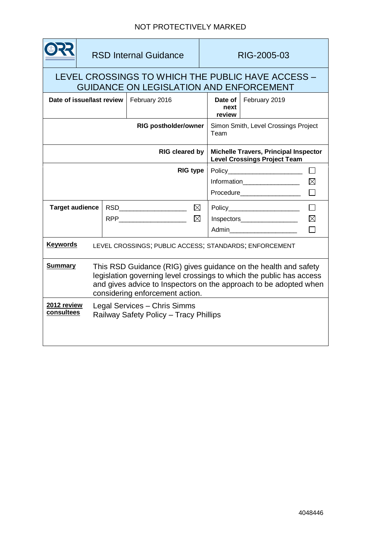|                                                                                                                                                                                                                                                                   | <b>RSD Internal Guidance</b> |                                           |               |  | RIG-2005-03                                                                         |                         |             |
|-------------------------------------------------------------------------------------------------------------------------------------------------------------------------------------------------------------------------------------------------------------------|------------------------------|-------------------------------------------|---------------|--|-------------------------------------------------------------------------------------|-------------------------|-------------|
| LEVEL CROSSINGS TO WHICH THE PUBLIC HAVE ACCESS -<br><b>GUIDANCE ON LEGISLATION AND ENFORCEMENT</b>                                                                                                                                                               |                              |                                           |               |  |                                                                                     |                         |             |
| Date of issue/last review                                                                                                                                                                                                                                         |                              |                                           | February 2016 |  | next<br>review                                                                      | Date of   February 2019 |             |
| <b>RIG postholder/owner</b>                                                                                                                                                                                                                                       |                              |                                           |               |  | Simon Smith, Level Crossings Project<br>Team                                        |                         |             |
| <b>RIG cleared by</b>                                                                                                                                                                                                                                             |                              |                                           |               |  | <b>Michelle Travers, Principal Inspector</b><br><b>Level Crossings Project Team</b> |                         |             |
| <b>RIG type</b>                                                                                                                                                                                                                                                   |                              |                                           |               |  | $Policy$ $\Box$                                                                     |                         |             |
|                                                                                                                                                                                                                                                                   |                              |                                           |               |  | Information___________________                                                      |                         | $\boxtimes$ |
|                                                                                                                                                                                                                                                                   |                              |                                           |               |  | Procedure___________________                                                        |                         |             |
| <b>Target audience</b>                                                                                                                                                                                                                                            |                              | RSD <b>RSD RSD</b>                        | ⊠             |  | Policy_______________________                                                       |                         |             |
|                                                                                                                                                                                                                                                                   |                              | $\boxtimes$<br>RPP_______________________ |               |  | Inspectors                                                                          |                         | $\boxtimes$ |
|                                                                                                                                                                                                                                                                   |                              |                                           |               |  |                                                                                     |                         |             |
| <b>Keywords</b><br>LEVEL CROSSINGS; PUBLIC ACCESS; STANDARDS; ENFORCEMENT                                                                                                                                                                                         |                              |                                           |               |  |                                                                                     |                         |             |
| <b>Summary</b><br>This RSD Guidance (RIG) gives guidance on the health and safety<br>legislation governing level crossings to which the public has access<br>and gives advice to Inspectors on the approach to be adopted when<br>considering enforcement action. |                              |                                           |               |  |                                                                                     |                         |             |
| 2012 review<br>Legal Services - Chris Simms<br>consultees<br>Railway Safety Policy - Tracy Phillips                                                                                                                                                               |                              |                                           |               |  |                                                                                     |                         |             |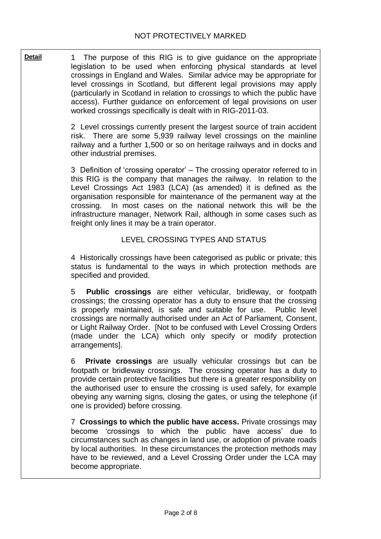**Detail** 1 The purpose of this RIG is to give guidance on the appropriate legislation to be used when enforcing physical standards at level crossings in England and Wales. Similar advice may be appropriate for level crossings in Scotland, but different legal provisions may apply (particularly in Scotland in relation to crossings to which the public have access). Further guidance on enforcement of legal provisions on user worked crossings specifically is dealt with in RIG-2011-03.

> 2 Level crossings currently present the largest source of train accident risk. There are some 5,939 railway level crossings on the mainline railway and a further 1,500 or so on heritage railways and in docks and other industrial premises.

> 3 Definition of 'crossing operator' – The crossing operator referred to in this RIG is the company that manages the railway. In relation to the Level Crossings Act 1983 (LCA) (as amended) it is defined as the organisation responsible for maintenance of the permanent way at the crossing. In most cases on the national network this will be the infrastructure manager, Network Rail, although in some cases such as freight only lines it may be a train operator.

#### LEVEL CROSSING TYPES AND STATUS

4 Historically crossings have been categorised as public or private; this status is fundamental to the ways in which protection methods are specified and provided.

5 **Public crossings** are either vehicular, bridleway, or footpath crossings; the crossing operator has a duty to ensure that the crossing is properly maintained, is safe and suitable for use. Public level crossings are normally authorised under an Act of Parliament, Consent, or Light Railway Order. [Not to be confused with Level Crossing Orders (made under the LCA) which only specify or modify protection arrangements].

6 **Private crossings** are usually vehicular crossings but can be footpath or bridleway crossings. The crossing operator has a duty to provide certain protective facilities but there is a greater responsibility on the authorised user to ensure the crossing is used safely, for example obeying any warning signs, closing the gates, or using the telephone (if one is provided) before crossing.

7 **Crossings to which the public have access.** Private crossings may become 'crossings to which the public have access' due to circumstances such as changes in land use, or adoption of private roads by local authorities. In these circumstances the protection methods may have to be reviewed, and a Level Crossing Order under the LCA may become appropriate.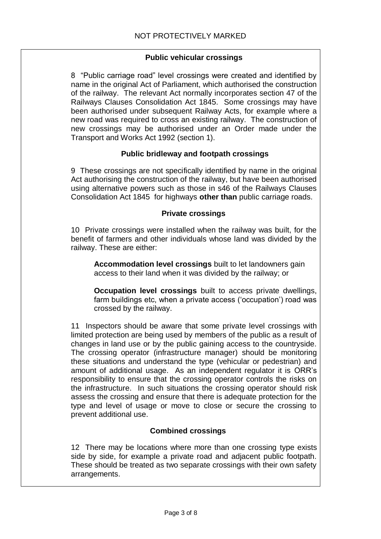# **Public vehicular crossings**

8 "Public carriage road" level crossings were created and identified by name in the original Act of Parliament, which authorised the construction of the railway. The relevant Act normally incorporates section 47 of the Railways Clauses Consolidation Act 1845. Some crossings may have been authorised under subsequent Railway Acts, for example where a new road was required to cross an existing railway. The construction of new crossings may be authorised under an Order made under the Transport and Works Act 1992 (section 1).

# **Public bridleway and footpath crossings**

9 These crossings are not specifically identified by name in the original Act authorising the construction of the railway, but have been authorised using alternative powers such as those in s46 of the Railways Clauses Consolidation Act 1845 for highways **other than** public carriage roads.

#### **Private crossings**

10 Private crossings were installed when the railway was built, for the benefit of farmers and other individuals whose land was divided by the railway. These are either:

**Accommodation level crossings** built to let landowners gain access to their land when it was divided by the railway; or

**Occupation level crossings** built to access private dwellings, farm buildings etc, when a private access ('occupation') road was crossed by the railway.

11 Inspectors should be aware that some private level crossings with limited protection are being used by members of the public as a result of changes in land use or by the public gaining access to the countryside. The crossing operator (infrastructure manager) should be monitoring these situations and understand the type (vehicular or pedestrian) and amount of additional usage. As an independent regulator it is ORR's responsibility to ensure that the crossing operator controls the risks on the infrastructure. In such situations the crossing operator should risk assess the crossing and ensure that there is adequate protection for the type and level of usage or move to close or secure the crossing to prevent additional use.

#### **Combined crossings**

12 There may be locations where more than one crossing type exists side by side, for example a private road and adjacent public footpath. These should be treated as two separate crossings with their own safety arrangements.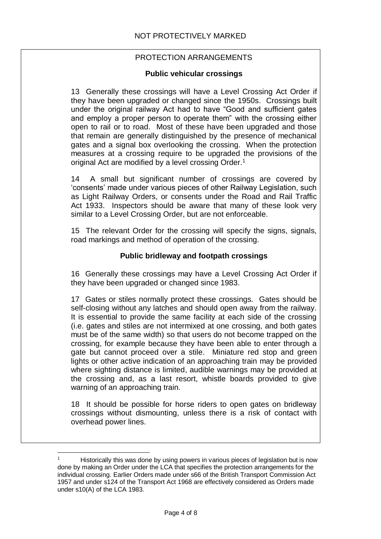# PROTECTION ARRANGEMENTS

## **Public vehicular crossings**

13 Generally these crossings will have a Level Crossing Act Order if they have been upgraded or changed since the 1950s. Crossings built under the original railway Act had to have "Good and sufficient gates and employ a proper person to operate them" with the crossing either open to rail or to road. Most of these have been upgraded and those that remain are generally distinguished by the presence of mechanical gates and a signal box overlooking the crossing. When the protection measures at a crossing require to be upgraded the provisions of the original Act are modified by a level crossing Order.<sup>1</sup>

14 A small but significant number of crossings are covered by 'consents' made under various pieces of other Railway Legislation, such as Light Railway Orders, or consents under the Road and Rail Traffic Act 1933. Inspectors should be aware that many of these look very similar to a Level Crossing Order, but are not enforceable.

15 The relevant Order for the crossing will specify the signs, signals, road markings and method of operation of the crossing.

## **Public bridleway and footpath crossings**

16 Generally th ese crossings may have a Level Crossing Act Order if they have been upgraded or changed since 1983.

17 Gates or stiles normally protect these crossings. Gates should be self-closing without any latches and should open away from the railway. It is essential to provide the same facility at each side of the crossing (i.e. gates and stiles are not intermixed at one crossing, and both gates must be of the same width) so that users do not become trapped on the crossing, for example because they have been able to enter through a gate but cannot proceed over a stile. Miniature red stop and green lights or other active indication of an approaching train may be provided where sighting distance is limited, audible warnings may be provided at the crossing and, as a last resort, whistle boards provided to give warning of an approaching train.

18 It should be possible for horse riders to open gates on bridleway crossings without dismounting, unless there is a risk of contact with overhead power lines.

l

<sup>1</sup> Historically this was done by using powers in various pieces of legislation but is now done by making an Order under the LCA that specifies the protection arrangements for the individual crossing. Earlier Orders made under s66 of the British Transport Commission Act 1957 and under s124 of the Transport Act 1968 are effectively considered as Orders made under s10(A) of the LCA 1983.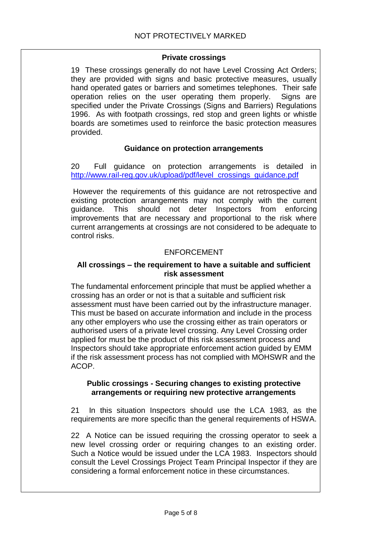#### **Private crossings**

19 These crossings generally do not have Level Crossing Act Orders; they are provided with signs and basic protective measures, usually hand operated gates or barriers and sometimes telephones. Their safe operation relies on the user operating them properly. Signs are specified under the Private Crossings (Signs and Barriers) Regulations 1996. As with footpath crossings, red stop and green lights or whistle boards are sometimes used to reinforce the basic protection measures provided.

#### **Guidance on protection arrangements**

20 Full guidance on protection arrangements is detailed in [http://www.rail-reg.gov.uk/upload/pdf/level\\_crossings\\_guidance.pdf](http://www.rail-reg.gov.uk/upload/pdf/level_crossings_guidance.pdf)

 However the requirements of this guidance are not retrospective and existing protection arrangements may not comply with the current guidance. This should not deter Inspectors from enforcing improvements that are necessary and proportional to the risk where current arrangements at crossings are not considered to be adequate to control risks.

#### ENFORCEMENT

#### **All crossings – the requirement to have a suitable and sufficient risk assessment**

The fundamental enforcement principle that must be applied whether a crossing has an order or not is that a suitable and sufficient risk assessment must have been carried out by the infrastructure manager. This must be based on accurate information and include in the process any other employers who use the crossing either as train operators or authorised users of a private level crossing. Any Level Crossing order applied for must be the product of this risk assessment process and Inspectors should take appropriate enforcement action guided by EMM if the risk assessment process has not complied with MOHSWR and the ACOP.

#### **Public crossings - Securing changes to existing protective arrangements or requiring new protective arrangements**

21 In this situation Inspectors should use the LCA 1983, as the requirements are more specific than the general requirements of HSWA.

22 A Notice can be issued requiring the crossing operator to seek a new level crossing order or requiring changes to an existing order. Such a Notice would be issued under the LCA 1983. Inspectors should consult the Level Crossings Project Team Principal Inspector if they are considering a formal enforcement notice in these circumstances.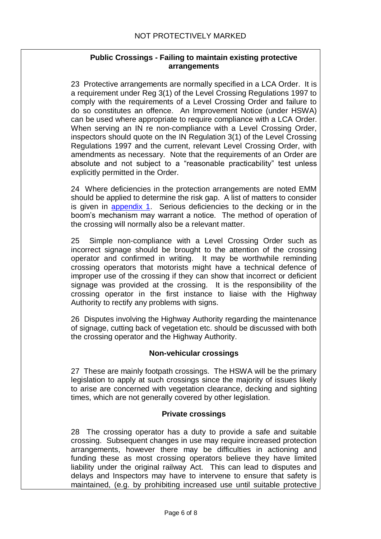## **Public Crossings - Failing to maintain existing protective arrangements**

23 Protective arrangements are normally specified in a LCA Order. It is a requirement under Reg 3(1) of the Level Crossing Regulations 1997 to comply with the requirements of a Level Crossing Order and failure to do so constitutes an offence. An Improvement Notice (under HSWA) can be used where appropriate to require compliance with a LCA Order. When serving an IN re non-compliance with a Level Crossing Order, inspectors should quote on the IN Regulation 3(1) of the Level Crossing Regulations 1997 and the current, relevant Level Crossing Order, with amendments as necessary. Note that the requirements of an Order are absolute and not subject to a "reasonable practicability" test unless explicitly permitted in the Order.

24 Where deficiencies in the protection arrangements are noted EMM should be applied to determine the risk gap. A list of matters to consider is given in [appendix 1.](#page-6-0) Serious deficiencies to the decking or in the boom's mechanism may warrant a notice. The method of operation of the crossing will normally also be a relevant matter.

25 Simple non-compliance with a Level Crossing Order such as incorrect signage should be brought to the attention of the crossing operator and confirmed in writing. It may be worthwhile reminding crossing operators that motorists might have a technical defence of improper use of the crossing if they can show that incorrect or deficient signage was provided at the crossing. It is the responsibility of the crossing operator in the first instance to liaise with the Highway Authority to rectify any problems with signs.

26 Disputes involving the Highway Authority regarding the maintenance of signage, cutting back of vegetation etc. should be discussed with both the crossing operator and the Highway Authority.

#### **Non-vehicular crossings**

27 These are mainly footpath crossings. The HSWA will be the primary legislation to apply at such crossings since the majority of issues likely to arise are concerned with vegetation clearance, decking and sighting times, which are not generally covered by other legislation.

#### **Private crossings**

28 The crossing operator has a duty to provide a safe and suitable crossing. Subsequent changes in use may require increased protection arrangements, however there may be difficulties in actioning and funding these as most crossing operators believe they have limited liability under the original railway Act. This can lead to disputes and delays and Inspectors may have to intervene to ensure that safety is maintained, (e.g. by prohibiting increased use until suitable protective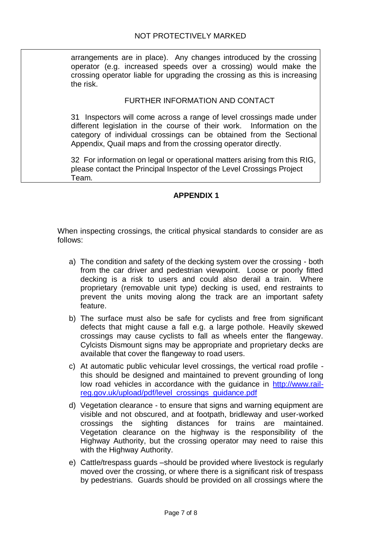arrangements are in place). Any changes introduced by the crossing operator (e.g. increased speeds over a crossing) would make the crossing operator liable for upgrading the crossing as this is increasing the risk.

#### FURTHER INFORMATION AND CONTACT

31 Inspectors will come across a range of level crossings made under different legislation in the course of their work. Information on the category of individual crossings can be obtained from the Sectional Appendix, Quail maps and from the crossing operator directly.

32 For information on legal or operational matters arising from this RIG, please contact the Principal Inspector of the Level Crossings Project Team.

#### **APPENDIX 1**

<span id="page-6-0"></span>When inspecting crossings, the critical physical standards to consider are as follows:

- a) The condition and safety of the decking system over the crossing both from the car driver and pedestrian viewpoint. Loose or poorly fitted decking is a risk to users and could also derail a train. Where proprietary (removable unit type) decking is used, end restraints to prevent the units moving along the track are an important safety feature.
- b) The surface must also be safe for cyclists and free from significant defects that might cause a fall e.g. a large pothole. Heavily skewed crossings may cause cyclists to fall as wheels enter the flangeway. Cylcists Dismount signs may be appropriate and proprietary decks are available that cover the flangeway to road users.
- c) At automatic public vehicular level crossings, the vertical road profile this should be designed and maintained to prevent grounding of long low road vehicles in accordance with the guidance in [http://www.rail](http://www.rail-reg.gov.uk/upload/pdf/level_crossings_guidance.pdf)[reg.gov.uk/upload/pdf/level\\_crossings\\_guidance.pdf](http://www.rail-reg.gov.uk/upload/pdf/level_crossings_guidance.pdf)
- d) Vegetation clearance to ensure that signs and warning equipment are visible and not obscured, and at footpath, bridleway and user-worked crossings the sighting distances for trains are maintained. Vegetation clearance on the highway is the responsibility of the Highway Authority, but the crossing operator may need to raise this with the Highway Authority.
- e) Cattle/trespass guards –should be provided where livestock is regularly moved over the crossing, or where there is a significant risk of trespass by pedestrians. Guards should be provided on all crossings where the